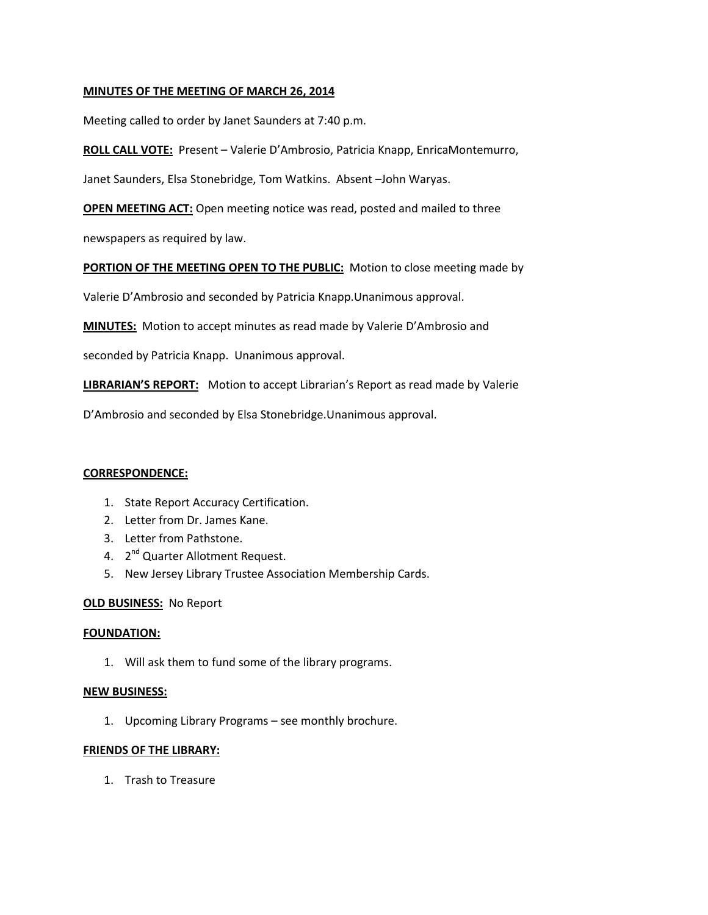# **MINUTES OF THE MEETING OF MARCH 26, 2014**

Meeting called to order by Janet Saunders at 7:40 p.m.

**ROLL CALL VOTE:** Present – Valerie D'Ambrosio, Patricia Knapp, EnricaMontemurro,

Janet Saunders, Elsa Stonebridge, Tom Watkins. Absent –John Waryas.

**OPEN MEETING ACT:** Open meeting notice was read, posted and mailed to three

newspapers as required by law.

**PORTION OF THE MEETING OPEN TO THE PUBLIC:** Motion to close meeting made by

Valerie D'Ambrosio and seconded by Patricia Knapp.Unanimous approval.

**MINUTES:** Motion to accept minutes as read made by Valerie D'Ambrosio and

seconded by Patricia Knapp. Unanimous approval.

**LIBRARIAN'S REPORT:** Motion to accept Librarian's Report as read made by Valerie

D'Ambrosio and seconded by Elsa Stonebridge.Unanimous approval.

#### **CORRESPONDENCE:**

- 1. State Report Accuracy Certification.
- 2. Letter from Dr. James Kane.
- 3. Letter from Pathstone.
- 4. 2<sup>nd</sup> Quarter Allotment Request.
- 5. New Jersey Library Trustee Association Membership Cards.

## **OLD BUSINESS:** No Report

#### **FOUNDATION:**

1. Will ask them to fund some of the library programs.

### **NEW BUSINESS:**

1. Upcoming Library Programs – see monthly brochure.

### **FRIENDS OF THE LIBRARY:**

1. Trash to Treasure